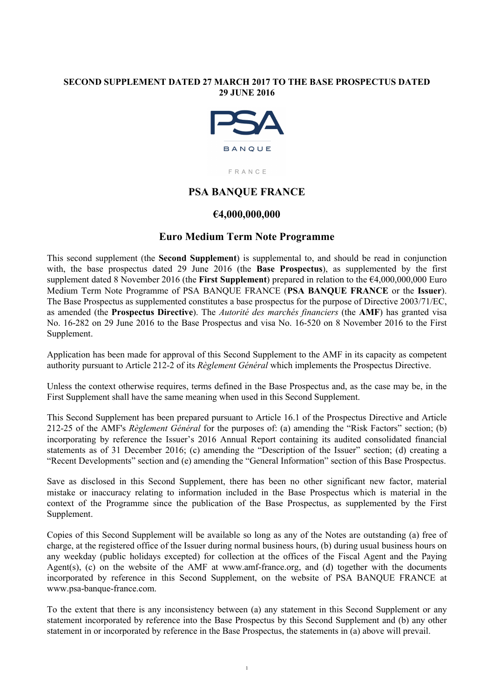# **SECOND SUPPLEMENT DATED 27 MARCH 2017 TO THE BASE PROSPECTUS DATED 29 JUNE 2016**



FRANCE

# **PSA BANQUE FRANCE**

# **€4,000,000,000**

# **Euro Medium Term Note Programme**

This second supplement (the **Second Supplement**) is supplemental to, and should be read in conjunction with, the base prospectus dated 29 June 2016 (the **Base Prospectus**), as supplemented by the first supplement dated 8 November 2016 (the **First Supplement**) prepared in relation to the €4,000,000,000 Euro Medium Term Note Programme of PSA BANQUE FRANCE (**PSA BANQUE FRANCE** or the **Issuer**). The Base Prospectus as supplemented constitutes a base prospectus for the purpose of Directive 2003/71/EC, as amended (the **Prospectus Directive**). The *Autorité des marchés financiers* (the **AMF**) has granted visa No. 16-282 on 29 June 2016 to the Base Prospectus and visa No. 16-520 on 8 November 2016 to the First Supplement.

Application has been made for approval of this Second Supplement to the AMF in its capacity as competent authority pursuant to Article 212-2 of its *Règlement Général* which implements the Prospectus Directive.

Unless the context otherwise requires, terms defined in the Base Prospectus and, as the case may be, in the First Supplement shall have the same meaning when used in this Second Supplement.

This Second Supplement has been prepared pursuant to Article 16.1 of the Prospectus Directive and Article 212-25 of the AMF's *Règlement Général* for the purposes of: (a) amending the "Risk Factors" section; (b) incorporating by reference the Issuer's 2016 Annual Report containing its audited consolidated financial statements as of 31 December 2016; (c) amending the "Description of the Issuer" section; (d) creating a "Recent Developments" section and (e) amending the "General Information" section of this Base Prospectus.

Save as disclosed in this Second Supplement, there has been no other significant new factor, material mistake or inaccuracy relating to information included in the Base Prospectus which is material in the context of the Programme since the publication of the Base Prospectus, as supplemented by the First Supplement.

Copies of this Second Supplement will be available so long as any of the Notes are outstanding (a) free of charge, at the registered office of the Issuer during normal business hours, (b) during usual business hours on any weekday (public holidays excepted) for collection at the offices of the Fiscal Agent and the Paying Agent(s), (c) on the website of the AMF at www.amf-france.org, and (d) together with the documents incorporated by reference in this Second Supplement, on the website of PSA BANQUE FRANCE at www.psa-banque-france.com.

To the extent that there is any inconsistency between (a) any statement in this Second Supplement or any statement incorporated by reference into the Base Prospectus by this Second Supplement and (b) any other statement in or incorporated by reference in the Base Prospectus, the statements in (a) above will prevail.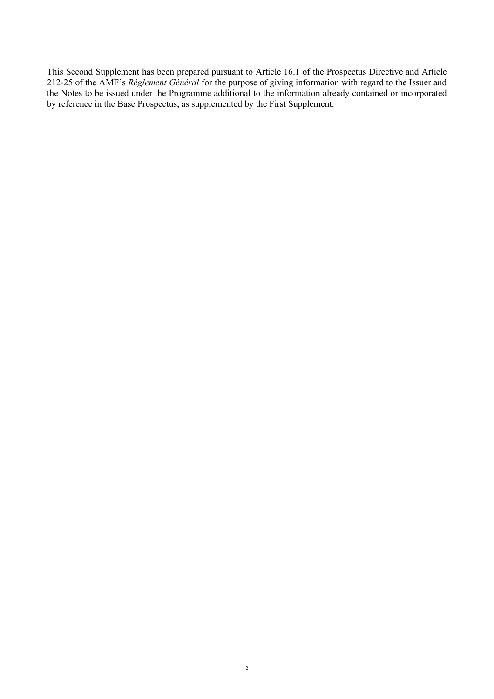This Second Supplement has been prepared pursuant to Article 16.1 of the Prospectus Directive and Article 212-25 of the AMF's *Règlement Général* for the purpose of giving information with regard to the Issuer and the Notes to be issued under the Programme additional to the information already contained or incorporated by reference in the Base Prospectus, as supplemented by the First Supplement.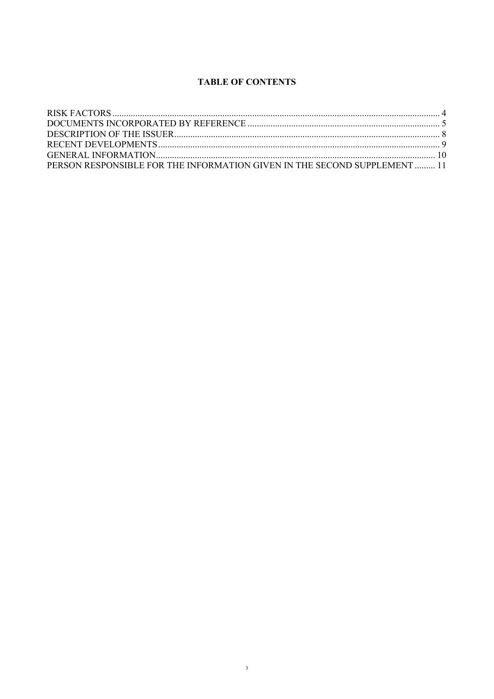# **TABLE OF CONTENTS**

| PERSON RESPONSIBLE FOR THE INFORMATION GIVEN IN THE SECOND SUPPLEMENT  11 |  |
|---------------------------------------------------------------------------|--|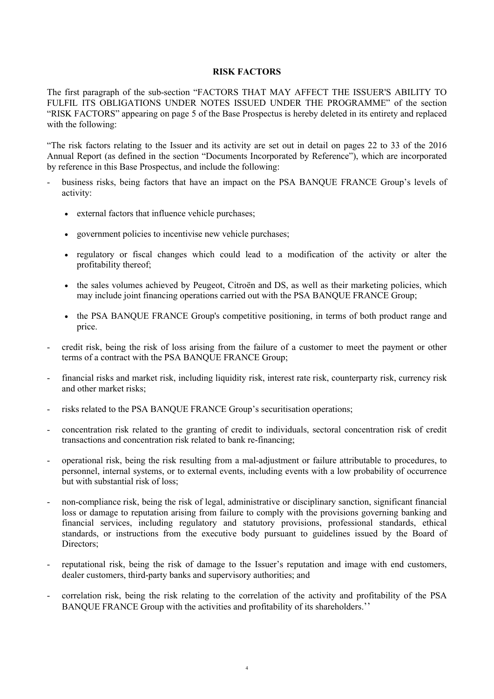## **RISK FACTORS**

The first paragraph of the sub-section "FACTORS THAT MAY AFFECT THE ISSUER'S ABILITY TO FULFIL ITS OBLIGATIONS UNDER NOTES ISSUED UNDER THE PROGRAMME" of the section "RISK FACTORS" appearing on page 5 of the Base Prospectus is hereby deleted in its entirety and replaced with the following:

"The risk factors relating to the Issuer and its activity are set out in detail on pages 22 to 33 of the 2016 Annual Report (as defined in the section "Documents Incorporated by Reference"), which are incorporated by reference in this Base Prospectus, and include the following:

- business risks, being factors that have an impact on the PSA BANQUE FRANCE Group's levels of activity:
	- external factors that influence vehicle purchases;
	- government policies to incentivise new vehicle purchases;
	- regulatory or fiscal changes which could lead to a modification of the activity or alter the profitability thereof;
	- the sales volumes achieved by Peugeot, Citroën and DS, as well as their marketing policies, which may include joint financing operations carried out with the PSA BANQUE FRANCE Group;
	- the PSA BANQUE FRANCE Group's competitive positioning, in terms of both product range and price.
- credit risk, being the risk of loss arising from the failure of a customer to meet the payment or other terms of a contract with the PSA BANQUE FRANCE Group;
- financial risks and market risk, including liquidity risk, interest rate risk, counterparty risk, currency risk and other market risks;
- risks related to the PSA BANQUE FRANCE Group's securitisation operations;
- concentration risk related to the granting of credit to individuals, sectoral concentration risk of credit transactions and concentration risk related to bank re-financing;
- operational risk, being the risk resulting from a mal-adjustment or failure attributable to procedures, to personnel, internal systems, or to external events, including events with a low probability of occurrence but with substantial risk of loss;
- non-compliance risk, being the risk of legal, administrative or disciplinary sanction, significant financial loss or damage to reputation arising from failure to comply with the provisions governing banking and financial services, including regulatory and statutory provisions, professional standards, ethical standards, or instructions from the executive body pursuant to guidelines issued by the Board of Directors;
- reputational risk, being the risk of damage to the Issuer's reputation and image with end customers, dealer customers, third-party banks and supervisory authorities; and
- correlation risk, being the risk relating to the correlation of the activity and profitability of the PSA BANQUE FRANCE Group with the activities and profitability of its shareholders.''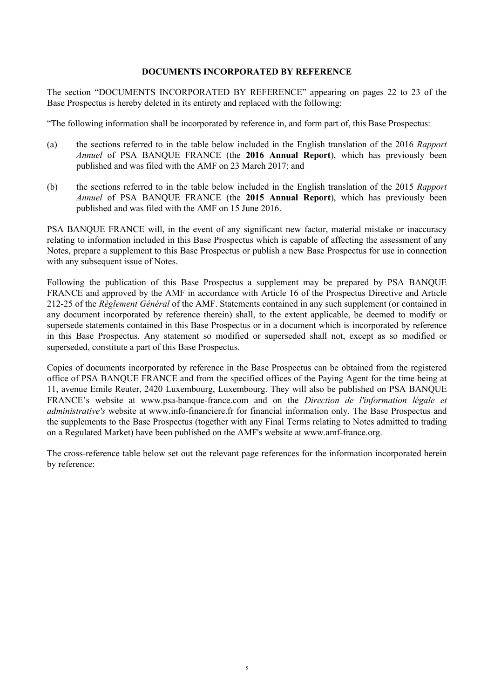# **DOCUMENTS INCORPORATED BY REFERENCE**

The section "DOCUMENTS INCORPORATED BY REFERENCE" appearing on pages 22 to 23 of the Base Prospectus is hereby deleted in its entirety and replaced with the following:

"The following information shall be incorporated by reference in, and form part of, this Base Prospectus:

- (a) the sections referred to in the table below included in the English translation of the 2016 *Rapport Annuel* of PSA BANQUE FRANCE (the **2016 Annual Report**), which has previously been published and was filed with the AMF on 23 March 2017; and
- (b) the sections referred to in the table below included in the English translation of the 2015 *Rapport Annuel* of PSA BANQUE FRANCE (the **2015 Annual Report**), which has previously been published and was filed with the AMF on 15 June 2016.

PSA BANQUE FRANCE will, in the event of any significant new factor, material mistake or inaccuracy relating to information included in this Base Prospectus which is capable of affecting the assessment of any Notes, prepare a supplement to this Base Prospectus or publish a new Base Prospectus for use in connection with any subsequent issue of Notes.

Following the publication of this Base Prospectus a supplement may be prepared by PSA BANQUE FRANCE and approved by the AMF in accordance with Article 16 of the Prospectus Directive and Article 212-25 of the *Règlement Général* of the AMF. Statements contained in any such supplement (or contained in any document incorporated by reference therein) shall, to the extent applicable, be deemed to modify or supersede statements contained in this Base Prospectus or in a document which is incorporated by reference in this Base Prospectus. Any statement so modified or superseded shall not, except as so modified or superseded, constitute a part of this Base Prospectus.

Copies of documents incorporated by reference in the Base Prospectus can be obtained from the registered office of PSA BANQUE FRANCE and from the specified offices of the Paying Agent for the time being at 11, avenue Emile Reuter, 2420 Luxembourg, Luxembourg. They will also be published on PSA BANQUE FRANCE's website at www.psa-banque-france.com and on the *Direction de l'information légale et administrative's* website at www.info-financiere.fr for financial information only. The Base Prospectus and the supplements to the Base Prospectus (together with any Final Terms relating to Notes admitted to trading on a Regulated Market) have been published on the AMF's website at www.amf-france.org.

The cross-reference table below set out the relevant page references for the information incorporated herein by reference: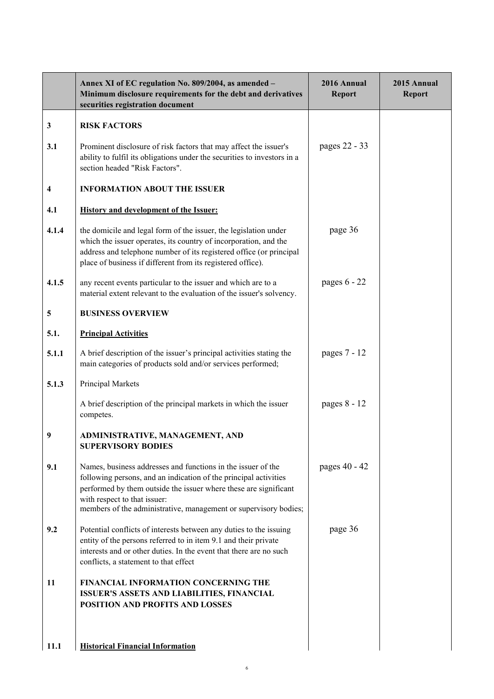|              | Annex XI of EC regulation No. 809/2004, as amended -<br>Minimum disclosure requirements for the debt and derivatives<br>securities registration document                                                                                                                                                 | 2016 Annual<br><b>Report</b> | 2015 Annual<br><b>Report</b> |
|--------------|----------------------------------------------------------------------------------------------------------------------------------------------------------------------------------------------------------------------------------------------------------------------------------------------------------|------------------------------|------------------------------|
| $\mathbf{3}$ | <b>RISK FACTORS</b>                                                                                                                                                                                                                                                                                      |                              |                              |
| 3.1          | Prominent disclosure of risk factors that may affect the issuer's<br>ability to fulfil its obligations under the securities to investors in a<br>section headed "Risk Factors".                                                                                                                          | pages 22 - 33                |                              |
| 4            | <b>INFORMATION ABOUT THE ISSUER</b>                                                                                                                                                                                                                                                                      |                              |                              |
| 4.1          | <b>History and development of the Issuer:</b>                                                                                                                                                                                                                                                            |                              |                              |
| 4.1.4        | the domicile and legal form of the issuer, the legislation under<br>which the issuer operates, its country of incorporation, and the<br>address and telephone number of its registered office (or principal<br>place of business if different from its registered office).                               | page 36                      |                              |
| 4.1.5        | any recent events particular to the issuer and which are to a<br>material extent relevant to the evaluation of the issuer's solvency.                                                                                                                                                                    | pages $6 - 22$               |                              |
| 5            | <b>BUSINESS OVERVIEW</b>                                                                                                                                                                                                                                                                                 |                              |                              |
| 5.1.         | <b>Principal Activities</b>                                                                                                                                                                                                                                                                              |                              |                              |
| 5.1.1        | A brief description of the issuer's principal activities stating the<br>main categories of products sold and/or services performed;                                                                                                                                                                      | pages 7 - 12                 |                              |
| 5.1.3        | Principal Markets                                                                                                                                                                                                                                                                                        |                              |                              |
|              | A brief description of the principal markets in which the issuer<br>competes.                                                                                                                                                                                                                            | pages 8 - 12                 |                              |
| 9            | ADMINISTRATIVE, MANAGEMENT, AND<br><b>SUPERVISORY BODIES</b>                                                                                                                                                                                                                                             |                              |                              |
| 9.1          | Names, business addresses and functions in the issuer of the<br>following persons, and an indication of the principal activities<br>performed by them outside the issuer where these are significant<br>with respect to that issuer:<br>members of the administrative, management or supervisory bodies; | pages 40 - 42                |                              |
| 9.2          | Potential conflicts of interests between any duties to the issuing<br>entity of the persons referred to in item 9.1 and their private<br>interests and or other duties. In the event that there are no such<br>conflicts, a statement to that effect                                                     | page 36                      |                              |
| 11           | FINANCIAL INFORMATION CONCERNING THE<br>ISSUER'S ASSETS AND LIABILITIES, FINANCIAL<br>POSITION AND PROFITS AND LOSSES                                                                                                                                                                                    |                              |                              |
| 11.1         | <b>Historical Financial Information</b>                                                                                                                                                                                                                                                                  |                              |                              |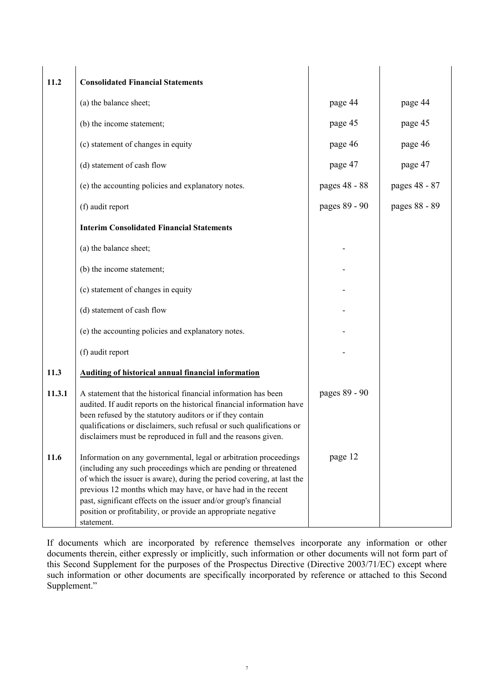| 11.2   | <b>Consolidated Financial Statements</b>                                                                                                                                                                                                                                                                                                                                                                                          |               |               |
|--------|-----------------------------------------------------------------------------------------------------------------------------------------------------------------------------------------------------------------------------------------------------------------------------------------------------------------------------------------------------------------------------------------------------------------------------------|---------------|---------------|
|        | (a) the balance sheet;                                                                                                                                                                                                                                                                                                                                                                                                            | page 44       | page 44       |
|        | (b) the income statement;                                                                                                                                                                                                                                                                                                                                                                                                         | page 45       | page 45       |
|        | (c) statement of changes in equity                                                                                                                                                                                                                                                                                                                                                                                                | page 46       | page 46       |
|        | (d) statement of cash flow                                                                                                                                                                                                                                                                                                                                                                                                        | page 47       | page 47       |
|        | (e) the accounting policies and explanatory notes.                                                                                                                                                                                                                                                                                                                                                                                | pages 48 - 88 | pages 48 - 87 |
|        | (f) audit report                                                                                                                                                                                                                                                                                                                                                                                                                  | pages 89 - 90 | pages 88 - 89 |
|        | <b>Interim Consolidated Financial Statements</b>                                                                                                                                                                                                                                                                                                                                                                                  |               |               |
|        | (a) the balance sheet;                                                                                                                                                                                                                                                                                                                                                                                                            |               |               |
|        | (b) the income statement;                                                                                                                                                                                                                                                                                                                                                                                                         |               |               |
|        | (c) statement of changes in equity                                                                                                                                                                                                                                                                                                                                                                                                |               |               |
|        | (d) statement of cash flow                                                                                                                                                                                                                                                                                                                                                                                                        |               |               |
|        | (e) the accounting policies and explanatory notes.                                                                                                                                                                                                                                                                                                                                                                                |               |               |
|        | (f) audit report                                                                                                                                                                                                                                                                                                                                                                                                                  |               |               |
| 11.3   | <b>Auditing of historical annual financial information</b>                                                                                                                                                                                                                                                                                                                                                                        |               |               |
| 11.3.1 | A statement that the historical financial information has been<br>audited. If audit reports on the historical financial information have<br>been refused by the statutory auditors or if they contain<br>qualifications or disclaimers, such refusal or such qualifications or<br>disclaimers must be reproduced in full and the reasons given.                                                                                   | pages 89 - 90 |               |
| 11.6   | Information on any governmental, legal or arbitration proceedings<br>(including any such proceedings which are pending or threatened<br>of which the issuer is aware), during the period covering, at last the<br>previous 12 months which may have, or have had in the recent<br>past, significant effects on the issuer and/or group's financial<br>position or profitability, or provide an appropriate negative<br>statement. | page 12       |               |

If documents which are incorporated by reference themselves incorporate any information or other documents therein, either expressly or implicitly, such information or other documents will not form part of this Second Supplement for the purposes of the Prospectus Directive (Directive 2003/71/EC) except where such information or other documents are specifically incorporated by reference or attached to this Second Supplement."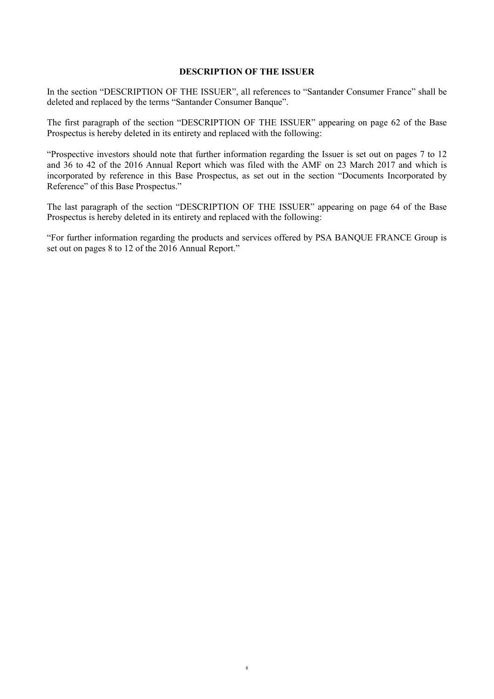## **DESCRIPTION OF THE ISSUER**

In the section "DESCRIPTION OF THE ISSUER", all references to "Santander Consumer France" shall be deleted and replaced by the terms "Santander Consumer Banque".

The first paragraph of the section "DESCRIPTION OF THE ISSUER" appearing on page 62 of the Base Prospectus is hereby deleted in its entirety and replaced with the following:

"Prospective investors should note that further information regarding the Issuer is set out on pages 7 to 12 and 36 to 42 of the 2016 Annual Report which was filed with the AMF on 23 March 2017 and which is incorporated by reference in this Base Prospectus, as set out in the section "Documents Incorporated by Reference" of this Base Prospectus."

The last paragraph of the section "DESCRIPTION OF THE ISSUER" appearing on page 64 of the Base Prospectus is hereby deleted in its entirety and replaced with the following:

"For further information regarding the products and services offered by PSA BANQUE FRANCE Group is set out on pages 8 to 12 of the 2016 Annual Report."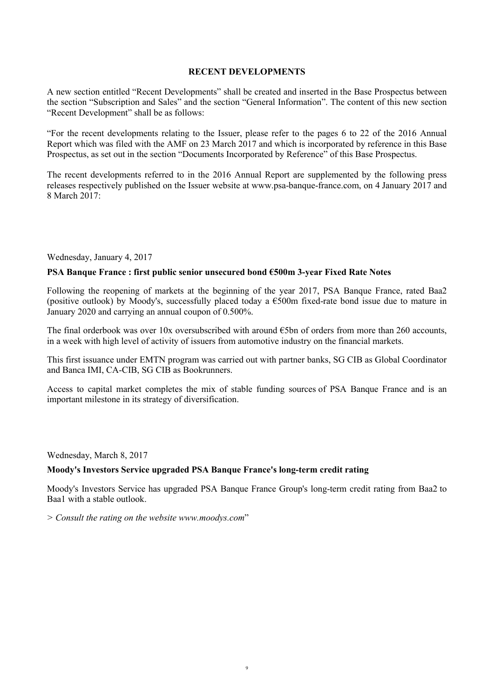## **RECENT DEVELOPMENTS**

A new section entitled "Recent Developments" shall be created and inserted in the Base Prospectus between the section "Subscription and Sales" and the section "General Information". The content of this new section "Recent Development" shall be as follows:

"For the recent developments relating to the Issuer, please refer to the pages 6 to 22 of the 2016 Annual Report which was filed with the AMF on 23 March 2017 and which is incorporated by reference in this Base Prospectus, as set out in the section "Documents Incorporated by Reference" of this Base Prospectus.

The recent developments referred to in the 2016 Annual Report are supplemented by the following press releases respectively published on the Issuer website at www.psa-banque-france.com, on 4 January 2017 and 8 March 2017:

Wednesday, January 4, 2017

# **PSA Banque France : first public senior unsecured bond €500m 3-year Fixed Rate Notes**

Following the reopening of markets at the beginning of the year 2017, PSA Banque France, rated Baa2 (positive outlook) by Moody's, successfully placed today a  $\epsilon$ 500m fixed-rate bond issue due to mature in January 2020 and carrying an annual coupon of 0.500%.

The final orderbook was over 10x oversubscribed with around  $\epsilon$ 5bn of orders from more than 260 accounts, in a week with high level of activity of issuers from automotive industry on the financial markets.

This first issuance under EMTN program was carried out with partner banks, SG CIB as Global Coordinator and Banca IMI, CA-CIB, SG CIB as Bookrunners.

Access to capital market completes the mix of stable funding sources of PSA Banque France and is an important milestone in its strategy of diversification.

Wednesday, March 8, 2017

### **Moody's Investors Service upgraded PSA Banque France's long-term credit rating**

Moody's Investors Service has upgraded PSA Banque France Group's long-term credit rating from Baa2 to Baa1 with a stable outlook.

*> Consult the rating on the website www.moodys.com*"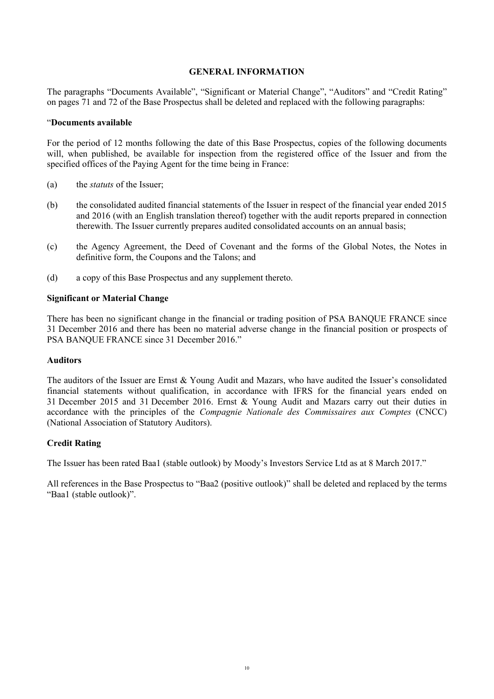# **GENERAL INFORMATION**

The paragraphs "Documents Available", "Significant or Material Change", "Auditors" and "Credit Rating" on pages 71 and 72 of the Base Prospectus shall be deleted and replaced with the following paragraphs:

### "**Documents available**

For the period of 12 months following the date of this Base Prospectus, copies of the following documents will, when published, be available for inspection from the registered office of the Issuer and from the specified offices of the Paying Agent for the time being in France:

- (a) the *statuts* of the Issuer;
- (b) the consolidated audited financial statements of the Issuer in respect of the financial year ended 2015 and 2016 (with an English translation thereof) together with the audit reports prepared in connection therewith. The Issuer currently prepares audited consolidated accounts on an annual basis;
- (c) the Agency Agreement, the Deed of Covenant and the forms of the Global Notes, the Notes in definitive form, the Coupons and the Talons; and
- (d) a copy of this Base Prospectus and any supplement thereto.

### **Significant or Material Change**

There has been no significant change in the financial or trading position of PSA BANQUE FRANCE since 31 December 2016 and there has been no material adverse change in the financial position or prospects of PSA BANQUE FRANCE since 31 December 2016."

### **Auditors**

The auditors of the Issuer are Ernst & Young Audit and Mazars, who have audited the Issuer's consolidated financial statements without qualification, in accordance with IFRS for the financial years ended on 31 December 2015 and 31 December 2016. Ernst & Young Audit and Mazars carry out their duties in accordance with the principles of the *Compagnie Nationale des Commissaires aux Comptes* (CNCC) (National Association of Statutory Auditors).

### **Credit Rating**

The Issuer has been rated Baa1 (stable outlook) by Moody's Investors Service Ltd as at 8 March 2017."

All references in the Base Prospectus to "Baa2 (positive outlook)" shall be deleted and replaced by the terms "Baa1 (stable outlook)".